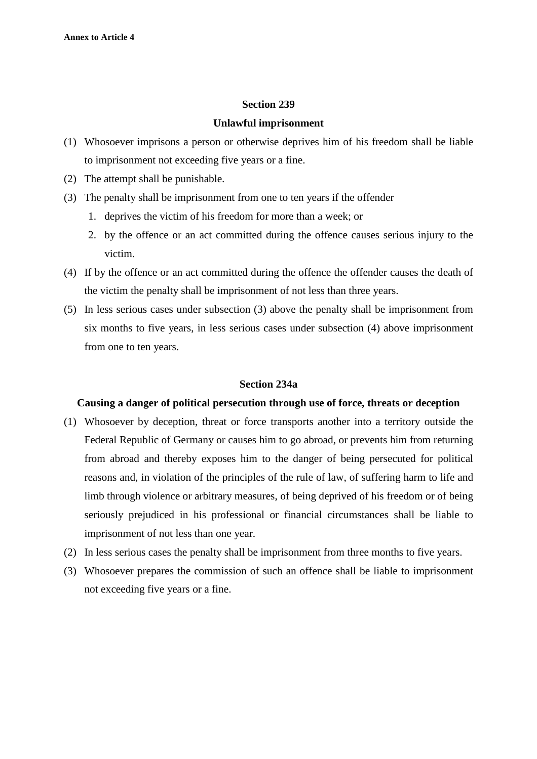# **Unlawful imprisonment**

- (1) Whosoever imprisons a person or otherwise deprives him of his freedom shall be liable to imprisonment not exceeding five years or a fine.
- (2) The attempt shall be punishable.
- (3) The penalty shall be imprisonment from one to ten years if the offender
	- 1. deprives the victim of his freedom for more than a week; or
	- 2. by the offence or an act committed during the offence causes serious injury to the victim.
- (4) If by the offence or an act committed during the offence the offender causes the death of the victim the penalty shall be imprisonment of not less than three years.
- (5) In less serious cases under subsection (3) above the penalty shall be imprisonment from six months to five years, in less serious cases under subsection (4) above imprisonment from one to ten years.

#### **Section 234a**

# **Causing a danger of political persecution through use of force, threats or deception**

- (1) Whosoever by deception, threat or force transports another into a territory outside the Federal Republic of Germany or causes him to go abroad, or prevents him from returning from abroad and thereby exposes him to the danger of being persecuted for political reasons and, in violation of the principles of the rule of law, of suffering harm to life and limb through violence or arbitrary measures, of being deprived of his freedom or of being seriously prejudiced in his professional or financial circumstances shall be liable to imprisonment of not less than one year.
- (2) In less serious cases the penalty shall be imprisonment from three months to five years.
- (3) Whosoever prepares the commission of such an offence shall be liable to imprisonment not exceeding five years or a fine.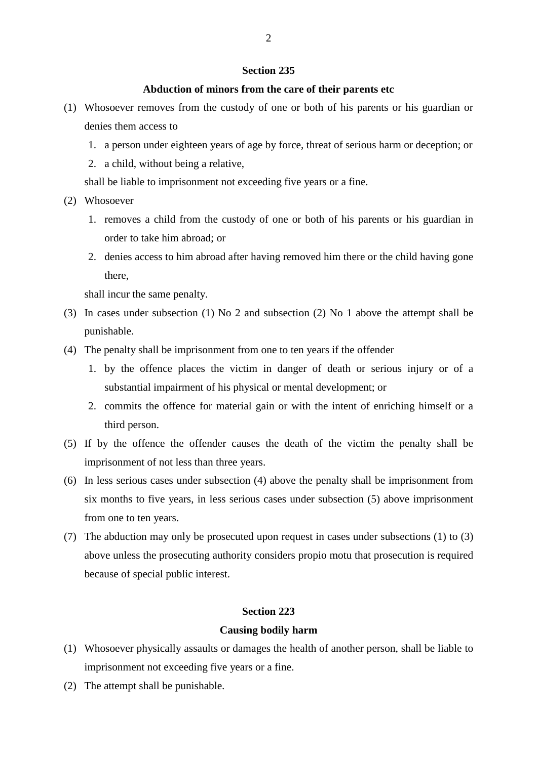# **Abduction of minors from the care of their parents etc**

- (1) Whosoever removes from the custody of one or both of his parents or his guardian or denies them access to
	- 1. a person under eighteen years of age by force, threat of serious harm or deception; or
	- 2. a child, without being a relative,

shall be liable to imprisonment not exceeding five years or a fine.

- (2) Whosoever
	- 1. removes a child from the custody of one or both of his parents or his guardian in order to take him abroad; or
	- 2. denies access to him abroad after having removed him there or the child having gone there,

shall incur the same penalty.

- (3) In cases under subsection (1) No 2 and subsection (2) No 1 above the attempt shall be punishable.
- (4) The penalty shall be imprisonment from one to ten years if the offender
	- 1. by the offence places the victim in danger of death or serious injury or of a substantial impairment of his physical or mental development; or
	- 2. commits the offence for material gain or with the intent of enriching himself or a third person.
- (5) If by the offence the offender causes the death of the victim the penalty shall be imprisonment of not less than three years.
- (6) In less serious cases under subsection (4) above the penalty shall be imprisonment from six months to five years, in less serious cases under subsection (5) above imprisonment from one to ten years.
- (7) The abduction may only be prosecuted upon request in cases under subsections (1) to (3) above unless the prosecuting authority considers propio motu that prosecution is required because of special public interest.

# **Section 223**

### **Causing bodily harm**

- (1) Whosoever physically assaults or damages the health of another person, shall be liable to imprisonment not exceeding five years or a fine.
- (2) The attempt shall be punishable.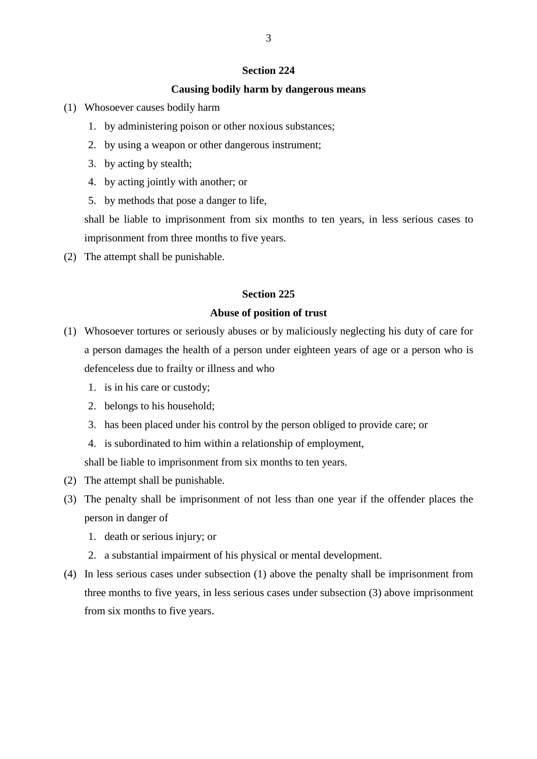## **Causing bodily harm by dangerous means**

- (1) Whosoever causes bodily harm
	- 1. by administering poison or other noxious substances;
	- 2. by using a weapon or other dangerous instrument;
	- 3. by acting by stealth;
	- 4. by acting jointly with another; or
	- 5. by methods that pose a danger to life,

shall be liable to imprisonment from six months to ten years, in less serious cases to imprisonment from three months to five years.

(2) The attempt shall be punishable.

# **Section 225**

## **Abuse of position of trust**

- (1) Whosoever tortures or seriously abuses or by maliciously neglecting his duty of care for a person damages the health of a person under eighteen years of age or a person who is defenceless due to frailty or illness and who
	- 1. is in his care or custody;
	- 2. belongs to his household;
	- 3. has been placed under his control by the person obliged to provide care; or
	- 4. is subordinated to him within a relationship of employment,

shall be liable to imprisonment from six months to ten years.

- (2) The attempt shall be punishable.
- (3) The penalty shall be imprisonment of not less than one year if the offender places the person in danger of
	- 1. death or serious injury; or
	- 2. a substantial impairment of his physical or mental development.
- (4) In less serious cases under subsection (1) above the penalty shall be imprisonment from three months to five years, in less serious cases under subsection (3) above imprisonment from six months to five years.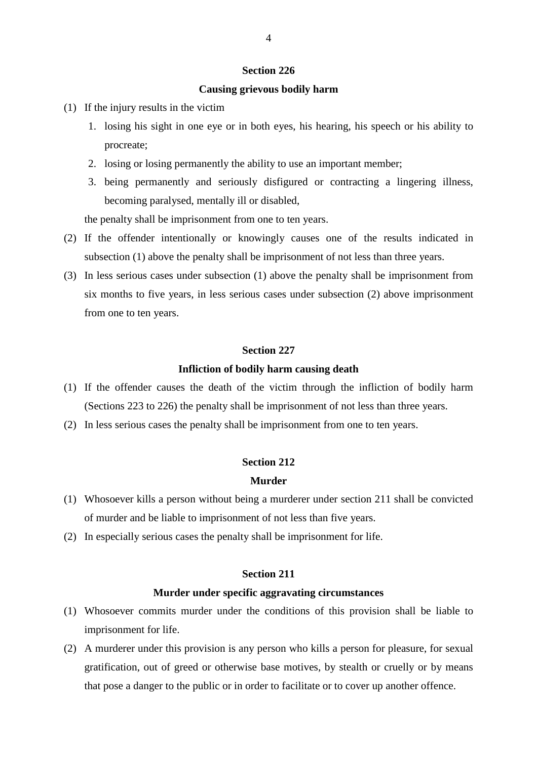# **Causing grievous bodily harm**

- (1) If the injury results in the victim
	- 1. losing his sight in one eye or in both eyes, his hearing, his speech or his ability to procreate;
	- 2. losing or losing permanently the ability to use an important member;
	- 3. being permanently and seriously disfigured or contracting a lingering illness, becoming paralysed, mentally ill or disabled,

the penalty shall be imprisonment from one to ten years.

- (2) If the offender intentionally or knowingly causes one of the results indicated in subsection (1) above the penalty shall be imprisonment of not less than three years.
- (3) In less serious cases under subsection (1) above the penalty shall be imprisonment from six months to five years, in less serious cases under subsection (2) above imprisonment from one to ten years.

# **Section 227**

# **Infliction of bodily harm causing death**

- (1) If the offender causes the death of the victim through the infliction of bodily harm (Sections 223 to 226) the penalty shall be imprisonment of not less than three years.
- (2) In less serious cases the penalty shall be imprisonment from one to ten years.

# **Section 212**

# **Murder**

- (1) Whosoever kills a person without being a murderer under section 211 shall be convicted of murder and be liable to imprisonment of not less than five years.
- (2) In especially serious cases the penalty shall be imprisonment for life.

## **Section 211**

## **Murder under specific aggravating circumstances**

- (1) Whosoever commits murder under the conditions of this provision shall be liable to imprisonment for life.
- (2) A murderer under this provision is any person who kills a person for pleasure, for sexual gratification, out of greed or otherwise base motives, by stealth or cruelly or by means that pose a danger to the public or in order to facilitate or to cover up another offence.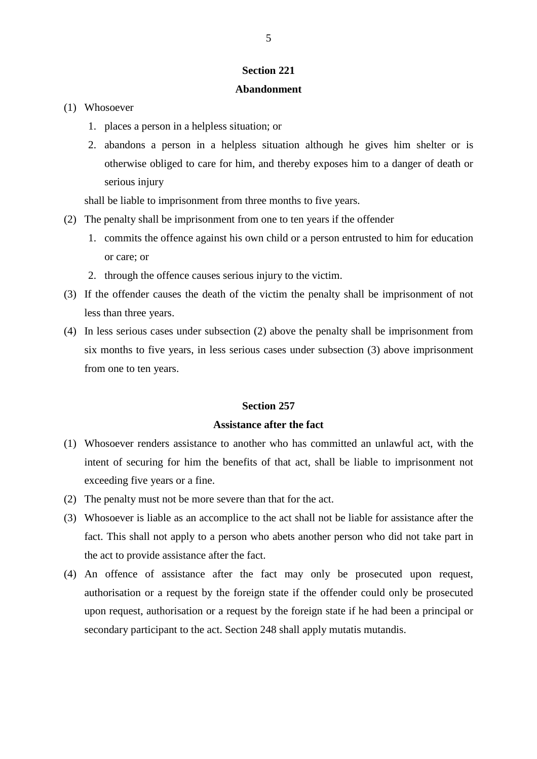## **Abandonment**

- (1) Whosoever
	- 1. places a person in a helpless situation; or
	- 2. abandons a person in a helpless situation although he gives him shelter or is otherwise obliged to care for him, and thereby exposes him to a danger of death or serious injury

shall be liable to imprisonment from three months to five years.

- (2) The penalty shall be imprisonment from one to ten years if the offender
	- 1. commits the offence against his own child or a person entrusted to him for education or care; or
	- 2. through the offence causes serious injury to the victim.
- (3) If the offender causes the death of the victim the penalty shall be imprisonment of not less than three years.
- (4) In less serious cases under subsection (2) above the penalty shall be imprisonment from six months to five years, in less serious cases under subsection (3) above imprisonment from one to ten years.

# **Section 257**

# **Assistance after the fact**

- (1) Whosoever renders assistance to another who has committed an unlawful act, with the intent of securing for him the benefits of that act, shall be liable to imprisonment not exceeding five years or a fine.
- (2) The penalty must not be more severe than that for the act.
- (3) Whosoever is liable as an accomplice to the act shall not be liable for assistance after the fact. This shall not apply to a person who abets another person who did not take part in the act to provide assistance after the fact.
- (4) An offence of assistance after the fact may only be prosecuted upon request, authorisation or a request by the foreign state if the offender could only be prosecuted upon request, authorisation or a request by the foreign state if he had been a principal or secondary participant to the act. Section 248 shall apply mutatis mutandis.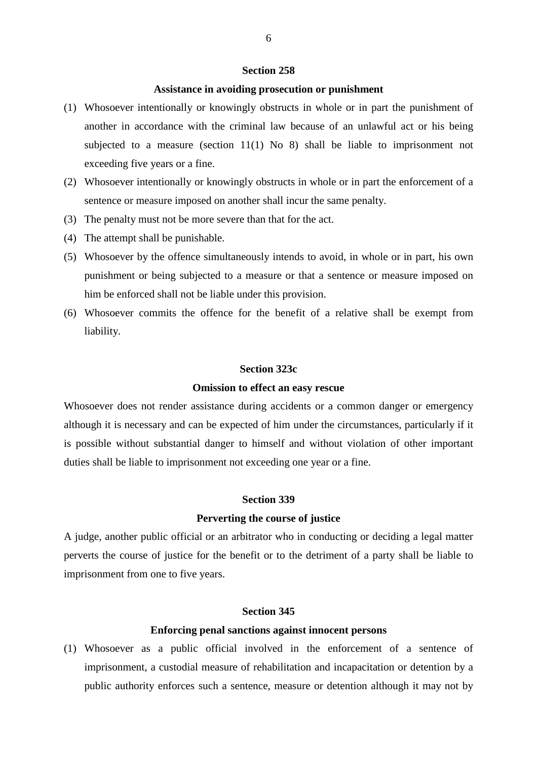## **Assistance in avoiding prosecution or punishment**

- (1) Whosoever intentionally or knowingly obstructs in whole or in part the punishment of another in accordance with the criminal law because of an unlawful act or his being subjected to a measure (section 11(1) No 8) shall be liable to imprisonment not exceeding five years or a fine.
- (2) Whosoever intentionally or knowingly obstructs in whole or in part the enforcement of a sentence or measure imposed on another shall incur the same penalty.
- (3) The penalty must not be more severe than that for the act.
- (4) The attempt shall be punishable.
- (5) Whosoever by the offence simultaneously intends to avoid, in whole or in part, his own punishment or being subjected to a measure or that a sentence or measure imposed on him be enforced shall not be liable under this provision.
- (6) Whosoever commits the offence for the benefit of a relative shall be exempt from liability.

#### **Section 323c**

#### **Omission to effect an easy rescue**

Whosoever does not render assistance during accidents or a common danger or emergency although it is necessary and can be expected of him under the circumstances, particularly if it is possible without substantial danger to himself and without violation of other important duties shall be liable to imprisonment not exceeding one year or a fine.

#### **Section 339**

#### **Perverting the course of justice**

A judge, another public official or an arbitrator who in conducting or deciding a legal matter perverts the course of justice for the benefit or to the detriment of a party shall be liable to imprisonment from one to five years.

# **Section 345**

#### **Enforcing penal sanctions against innocent persons**

(1) Whosoever as a public official involved in the enforcement of a sentence of imprisonment, a custodial measure of rehabilitation and incapacitation or detention by a public authority enforces such a sentence, measure or detention although it may not by